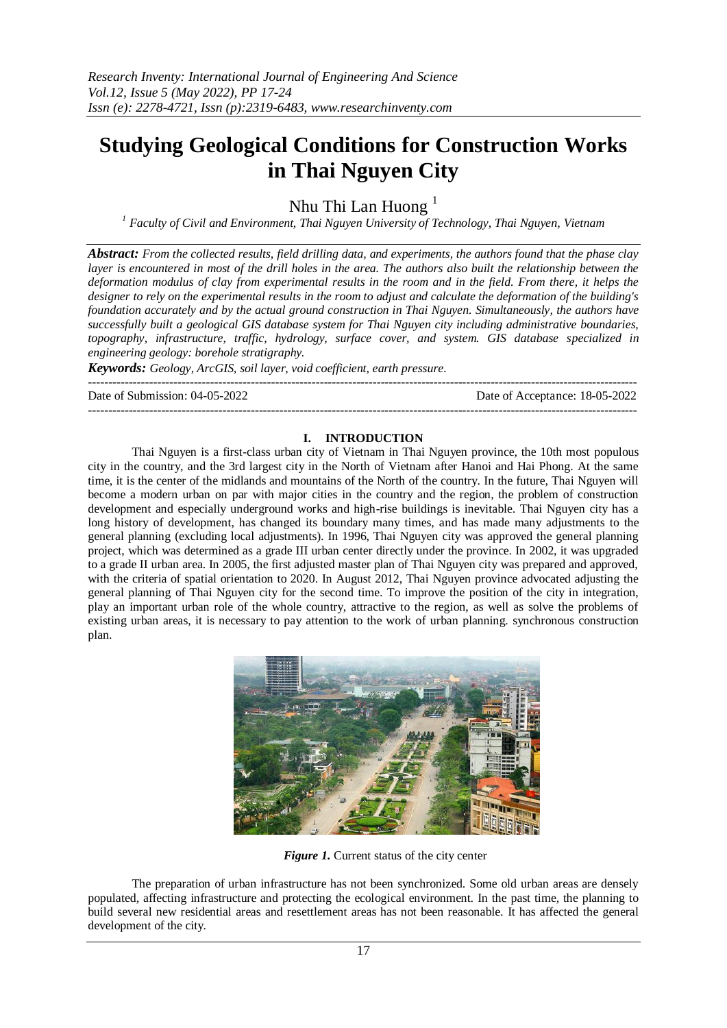# **Studying Geological Conditions for Construction Works in Thai Nguyen City**

Nhu Thi Lan Huong $<sup>1</sup>$ </sup>

*<sup>1</sup> Faculty of Civil and Environment, Thai Nguyen University of Technology, Thai Nguyen, Vietnam*

*Abstract: From the collected results, field drilling data, and experiments, the authors found that the phase clay layer is encountered in most of the drill holes in the area. The authors also built the relationship between the deformation modulus of clay from experimental results in the room and in the field. From there, it helps the designer to rely on the experimental results in the room to adjust and calculate the deformation of the building's foundation accurately and by the actual ground construction in Thai Nguyen. Simultaneously, the authors have successfully built a geological GIS database system for Thai Nguyen city including administrative boundaries, topography, infrastructure, traffic, hydrology, surface cover, and system. GIS database specialized in engineering geology: borehole stratigraphy.*

*Keywords: Geology, ArcGIS, soil layer, void coefficient, earth pressure.* ---------------------------------------------------------------------------------------------------------------------------------------

Date of Submission: 04-05-2022 Date of Acceptance: 18-05-2022

#### **I. INTRODUCTION**

---------------------------------------------------------------------------------------------------------------------------------------

Thai Nguyen is a first-class urban city of Vietnam in Thai Nguyen province, the 10th most populous city in the country, and the 3rd largest city in the North of Vietnam after Hanoi and Hai Phong. At the same time, it is the center of the midlands and mountains of the North of the country. In the future, Thai Nguyen will become a modern urban on par with major cities in the country and the region, the problem of construction development and especially underground works and high-rise buildings is inevitable. Thai Nguyen city has a long history of development, has changed its boundary many times, and has made many adjustments to the general planning (excluding local adjustments). In 1996, Thai Nguyen city was approved the general planning project, which was determined as a grade III urban center directly under the province. In 2002, it was upgraded to a grade II urban area. In 2005, the first adjusted master plan of Thai Nguyen city was prepared and approved, with the criteria of spatial orientation to 2020. In August 2012, Thai Nguyen province advocated adjusting the general planning of Thai Nguyen city for the second time. To improve the position of the city in integration, play an important urban role of the whole country, attractive to the region, as well as solve the problems of existing urban areas, it is necessary to pay attention to the work of urban planning. synchronous construction plan.



*Figure 1.* Current status of the city center

The preparation of urban infrastructure has not been synchronized. Some old urban areas are densely populated, affecting infrastructure and protecting the ecological environment. In the past time, the planning to build several new residential areas and resettlement areas has not been reasonable. It has affected the general development of the city.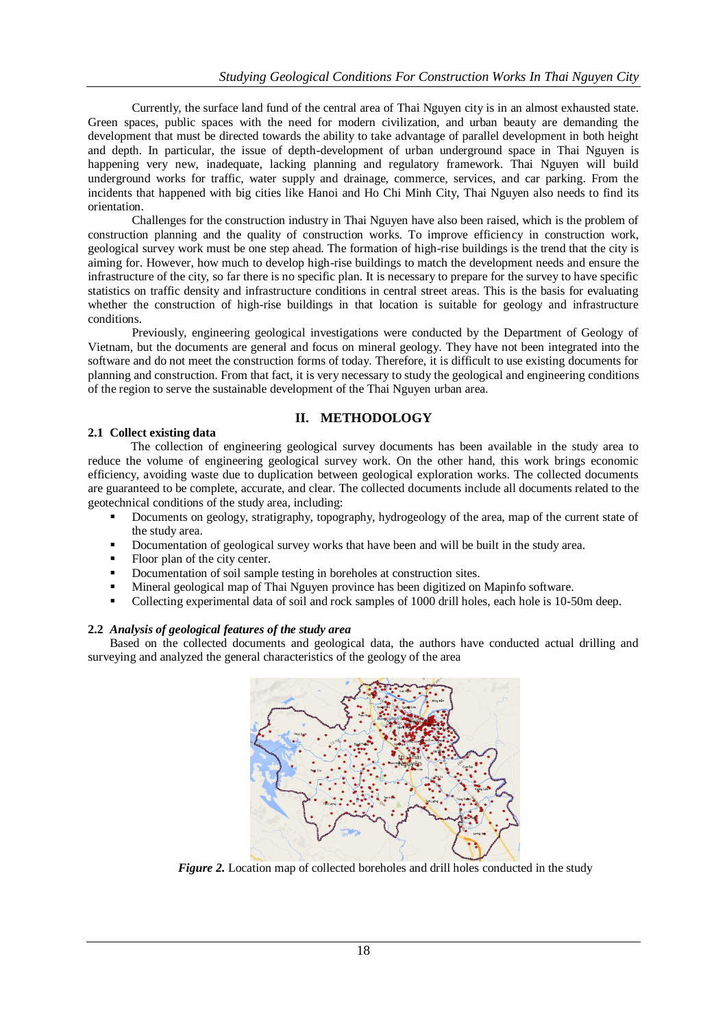Currently, the surface land fund of the central area of Thai Nguyen city is in an almost exhausted state. Green spaces, public spaces with the need for modern civilization, and urban beauty are demanding the development that must be directed towards the ability to take advantage of parallel development in both height and depth. In particular, the issue of depth-development of urban underground space in Thai Nguyen is happening very new, inadequate, lacking planning and regulatory framework. Thai Nguyen will build underground works for traffic, water supply and drainage, commerce, services, and car parking. From the incidents that happened with big cities like Hanoi and Ho Chi Minh City, Thai Nguyen also needs to find its orientation.

Challenges for the construction industry in Thai Nguyen have also been raised, which is the problem of construction planning and the quality of construction works. To improve efficiency in construction work, geological survey work must be one step ahead. The formation of high-rise buildings is the trend that the city is aiming for. However, how much to develop high-rise buildings to match the development needs and ensure the infrastructure of the city, so far there is no specific plan. It is necessary to prepare for the survey to have specific statistics on traffic density and infrastructure conditions in central street areas. This is the basis for evaluating whether the construction of high-rise buildings in that location is suitable for geology and infrastructure conditions.

Previously, engineering geological investigations were conducted by the Department of Geology of Vietnam, but the documents are general and focus on mineral geology. They have not been integrated into the software and do not meet the construction forms of today. Therefore, it is difficult to use existing documents for planning and construction. From that fact, it is very necessary to study the geological and engineering conditions of the region to serve the sustainable development of the Thai Nguyen urban area.

# **II. METHODOLOGY**

## **2.1 Collect existing data**

The collection of engineering geological survey documents has been available in the study area to reduce the volume of engineering geological survey work. On the other hand, this work brings economic efficiency, avoiding waste due to duplication between geological exploration works. The collected documents are guaranteed to be complete, accurate, and clear. The collected documents include all documents related to the geotechnical conditions of the study area, including:

- Documents on geology, stratigraphy, topography, hydrogeology of the area, map of the current state of the study area.
- Documentation of geological survey works that have been and will be built in the study area.
- Floor plan of the city center.
- Documentation of soil sample testing in boreholes at construction sites.
- Mineral geological map of Thai Nguyen province has been digitized on Mapinfo software.
- Collecting experimental data of soil and rock samples of 1000 drill holes, each hole is 10-50m deep.

### **2.2** *Analysis of geological features of the study area*

Based on the collected documents and geological data, the authors have conducted actual drilling and surveying and analyzed the general characteristics of the geology of the area



*Figure 2.* Location map of collected boreholes and drill holes conducted in the study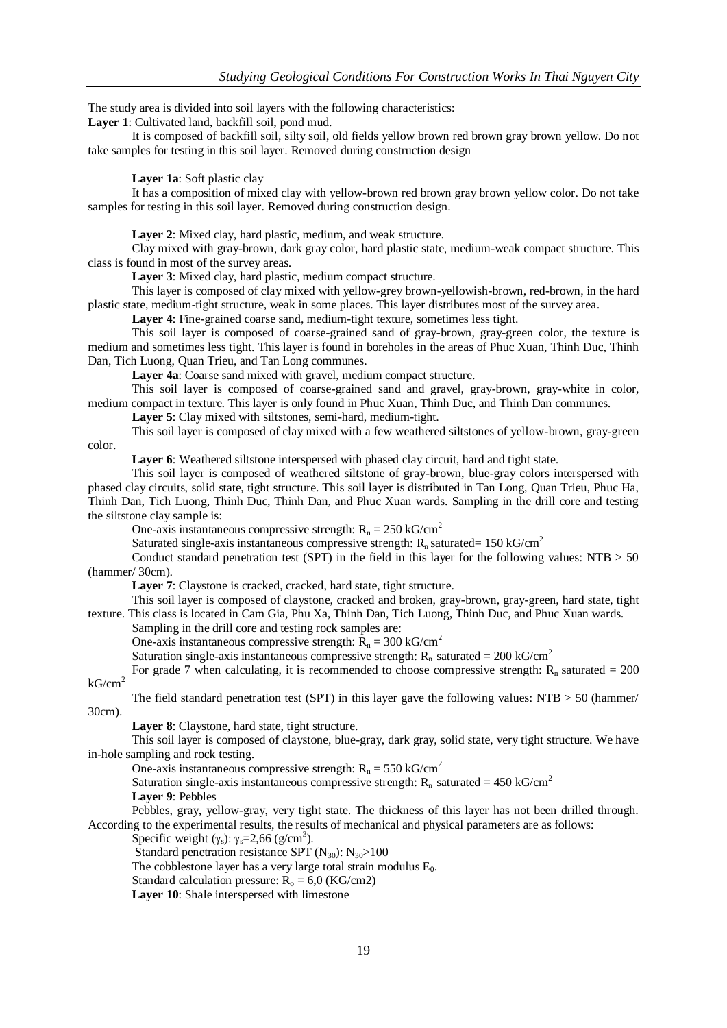The study area is divided into soil layers with the following characteristics:

**Layer 1**: Cultivated land, backfill soil, pond mud.

It is composed of backfill soil, silty soil, old fields yellow brown red brown gray brown yellow. Do not take samples for testing in this soil layer. Removed during construction design

**Layer 1a**: Soft plastic clay

It has a composition of mixed clay with yellow-brown red brown gray brown yellow color. Do not take samples for testing in this soil layer. Removed during construction design.

**Layer 2**: Mixed clay, hard plastic, medium, and weak structure.

Clay mixed with gray-brown, dark gray color, hard plastic state, medium-weak compact structure. This class is found in most of the survey areas.

**Layer 3**: Mixed clay, hard plastic, medium compact structure.

This layer is composed of clay mixed with yellow-grey brown-yellowish-brown, red-brown, in the hard plastic state, medium-tight structure, weak in some places. This layer distributes most of the survey area.

**Layer 4**: Fine-grained coarse sand, medium-tight texture, sometimes less tight.

This soil layer is composed of coarse-grained sand of gray-brown, gray-green color, the texture is medium and sometimes less tight. This layer is found in boreholes in the areas of Phuc Xuan, Thinh Duc, Thinh Dan, Tich Luong, Quan Trieu, and Tan Long communes.

**Layer 4a**: Coarse sand mixed with gravel, medium compact structure.

This soil layer is composed of coarse-grained sand and gravel, gray-brown, gray-white in color, medium compact in texture. This layer is only found in Phuc Xuan, Thinh Duc, and Thinh Dan communes.

**Layer 5**: Clay mixed with siltstones, semi-hard, medium-tight.

This soil layer is composed of clay mixed with a few weathered siltstones of yellow-brown, gray-green color.

Layer 6: Weathered siltstone interspersed with phased clay circuit, hard and tight state.

This soil layer is composed of weathered siltstone of gray-brown, blue-gray colors interspersed with phased clay circuits, solid state, tight structure. This soil layer is distributed in Tan Long, Quan Trieu, Phuc Ha, Thinh Dan, Tich Luong, Thinh Duc, Thinh Dan, and Phuc Xuan wards. Sampling in the drill core and testing the siltstone clay sample is:

One-axis instantaneous compressive strength:  $R_n = 250 \text{ kG/cm}^2$ 

Saturated single-axis instantaneous compressive strength:  $R_n$  saturated= 150 kG/cm<sup>2</sup>

Conduct standard penetration test (SPT) in the field in this layer for the following values:  $NTB > 50$ (hammer/ 30cm).

Layer 7: Claystone is cracked, cracked, hard state, tight structure.

This soil layer is composed of claystone, cracked and broken, gray-brown, gray-green, hard state, tight texture. This class is located in Cam Gia, Phu Xa, Thinh Dan, Tich Luong, Thinh Duc, and Phuc Xuan wards.

Sampling in the drill core and testing rock samples are:

One-axis instantaneous compressive strength:  $R_n = 300 \text{ kG/cm}^2$ 

Saturation single-axis instantaneous compressive strength:  $R_n$  saturated = 200 kG/cm<sup>2</sup>

For grade 7 when calculating, it is recommended to choose compressive strength:  $R_n$  saturated = 200  $kG/cm<sup>2</sup>$ 

The field standard penetration test (SPT) in this layer gave the following values:  $NTB > 50$  (hammer/

30cm).

**Layer 8**: Claystone, hard state, tight structure.

This soil layer is composed of claystone, blue-gray, dark gray, solid state, very tight structure. We have in-hole sampling and rock testing.

One-axis instantaneous compressive strength:  $R_n = 550 \text{ kG/cm}^2$ 

Saturation single-axis instantaneous compressive strength:  $R_n$  saturated = 450 kG/cm<sup>2</sup>

**Layer 9**: Pebbles

Pebbles, gray, yellow-gray, very tight state. The thickness of this layer has not been drilled through. According to the experimental results, the results of mechanical and physical parameters are as follows:

Specific weight ( $\gamma_s$ ):  $\gamma_s$ =2,66 (g/cm<sup>3</sup>).

Standard penetration resistance SPT  $(N_{30})$ :  $N_{30} > 100$ 

The cobblestone layer has a very large total strain modulus  $E_0$ .

Standard calculation pressure:  $R_0 = 6.0$  (KG/cm2)

**Layer 10**: Shale interspersed with limestone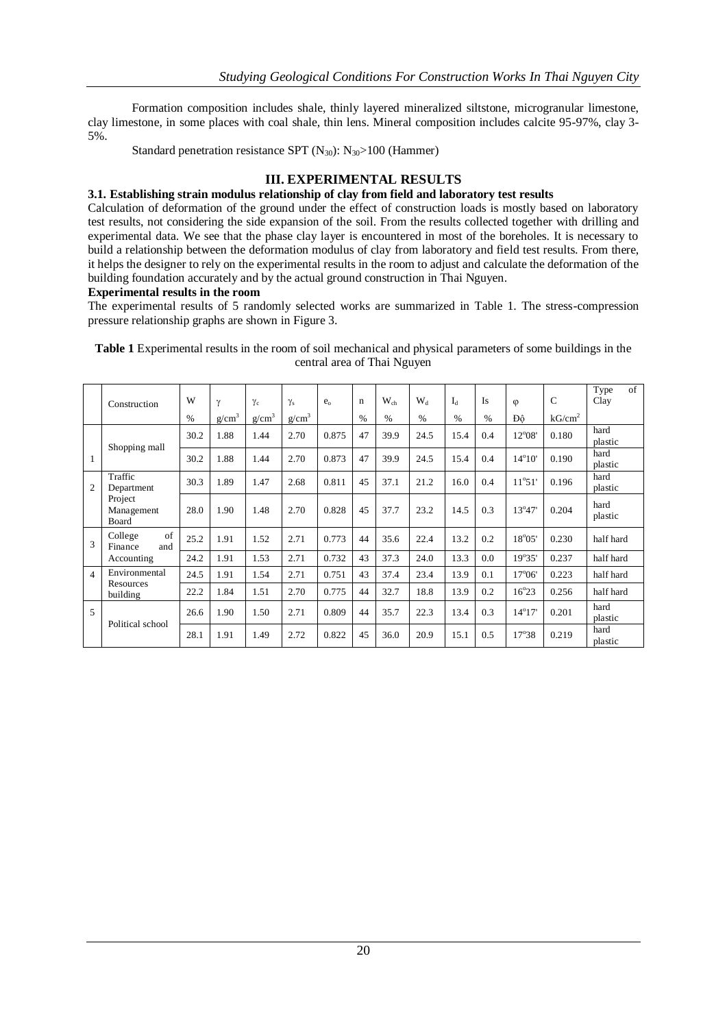Formation composition includes shale, thinly layered mineralized siltstone, microgranular limestone, clay limestone, in some places with coal shale, thin lens. Mineral composition includes calcite 95-97%, clay 3- 5%.

Standard penetration resistance SPT  $(N_{30})$ :  $N_{30}$ >100 (Hammer)

# **III. EXPERIMENTAL RESULTS**

# **3.1. Establishing strain modulus relationship of clay from field and laboratory test results**

Calculation of deformation of the ground under the effect of construction loads is mostly based on laboratory test results, not considering the side expansion of the soil. From the results collected together with drilling and experimental data. We see that the phase clay layer is encountered in most of the boreholes. It is necessary to build a relationship between the deformation modulus of clay from laboratory and field test results. From there, it helps the designer to rely on the experimental results in the room to adjust and calculate the deformation of the building foundation accurately and by the actual ground construction in Thai Nguyen.

## **Experimental results in the room**

The experimental results of 5 randomly selected works are summarized in Table 1. The stress-compression pressure relationship graphs are shown in Figure 3.

|                | Construction                                            | W    | γ        | $\gamma_c$ | $\gamma_{\rm s}$  | $e_{\alpha}$ | $\mathbf n$   | $W_{ch}$ | $W_{d}$       | $I_d$ | Is   | $\varphi$       | $\mathsf{C}$       | of<br>Type<br>Clay |
|----------------|---------------------------------------------------------|------|----------|------------|-------------------|--------------|---------------|----------|---------------|-------|------|-----------------|--------------------|--------------------|
|                |                                                         | $\%$ | $g/cm^3$ | $g/cm^3$   | g/cm <sup>3</sup> |              | $\frac{0}{0}$ | $\%$     | $\frac{0}{0}$ | $\%$  | $\%$ | Đô              | kG/cm <sup>2</sup> |                    |
|                | Shopping mall                                           | 30.2 | 1.88     | 1.44       | 2.70              | 0.875        | 47            | 39.9     | 24.5          | 15.4  | 0.4  | $12^{\circ}08'$ | 0.180              | hard<br>plastic    |
| 1              |                                                         | 30.2 | 1.88     | 1.44       | 2.70              | 0.873        | 47            | 39.9     | 24.5          | 15.4  | 0.4  | $14^{\circ}10'$ | 0.190              | hard<br>plastic    |
| $\overline{2}$ | Traffic<br>Department<br>Project<br>Management<br>Board | 30.3 | 1.89     | 1.47       | 2.68              | 0.811        | 45            | 37.1     | 21.2          | 16.0  | 0.4  | $11^{\circ}51'$ | 0.196              | hard<br>plastic    |
|                |                                                         | 28.0 | 1.90     | 1.48       | 2.70              | 0.828        | 45            | 37.7     | 23.2          | 14.5  | 0.3  | $13^{\circ}47'$ | 0.204              | hard<br>plastic    |
| 3              | of<br>College<br>Finance<br>and<br>Accounting           | 25.2 | 1.91     | 1.52       | 2.71              | 0.773        | 44            | 35.6     | 22.4          | 13.2  | 0.2  | $18^{\circ}05'$ | 0.230              | half hard          |
|                |                                                         | 24.2 | 1.91     | 1.53       | 2.71              | 0.732        | 43            | 37.3     | 24.0          | 13.3  | 0.0  | $19^{\circ}35'$ | 0.237              | half hard          |
| $\overline{4}$ | Environmental<br>Resources<br>building                  | 24.5 | 1.91     | 1.54       | 2.71              | 0.751        | 43            | 37.4     | 23.4          | 13.9  | 0.1  | $17^{\circ}06'$ | 0.223              | half hard          |
|                |                                                         | 22.2 | 1.84     | 1.51       | 2.70              | 0.775        | 44            | 32.7     | 18.8          | 13.9  | 0.2  | $16^{\circ}23$  | 0.256              | half hard          |
| 5              | Political school                                        | 26.6 | 1.90     | 1.50       | 2.71              | 0.809        | 44            | 35.7     | 22.3          | 13.4  | 0.3  | $14^{\circ}17'$ | 0.201              | hard<br>plastic    |
|                |                                                         | 28.1 | 1.91     | 1.49       | 2.72              | 0.822        | 45            | 36.0     | 20.9          | 15.1  | 0.5  | 17°38           | 0.219              | hard<br>plastic    |

**Table 1** Experimental results in the room of soil mechanical and physical parameters of some buildings in the central area of Thai Nguyen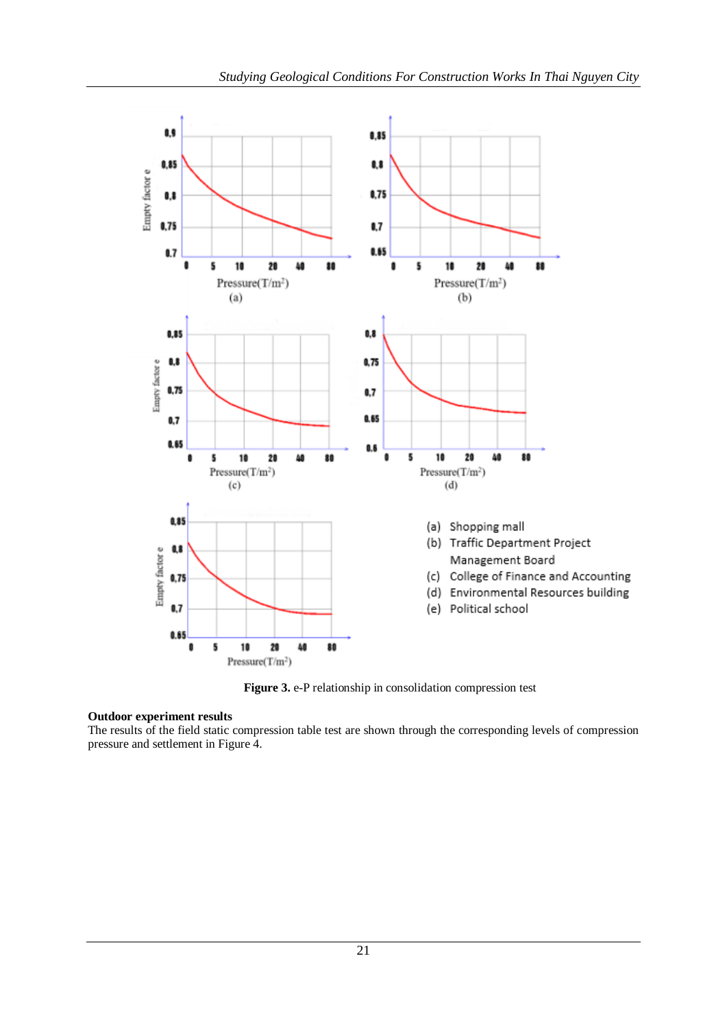

**Figure 3.** e-P relationship in consolidation compression test

## **Outdoor experiment results**

The results of the field static compression table test are shown through the corresponding levels of compression pressure and settlement in Figure 4.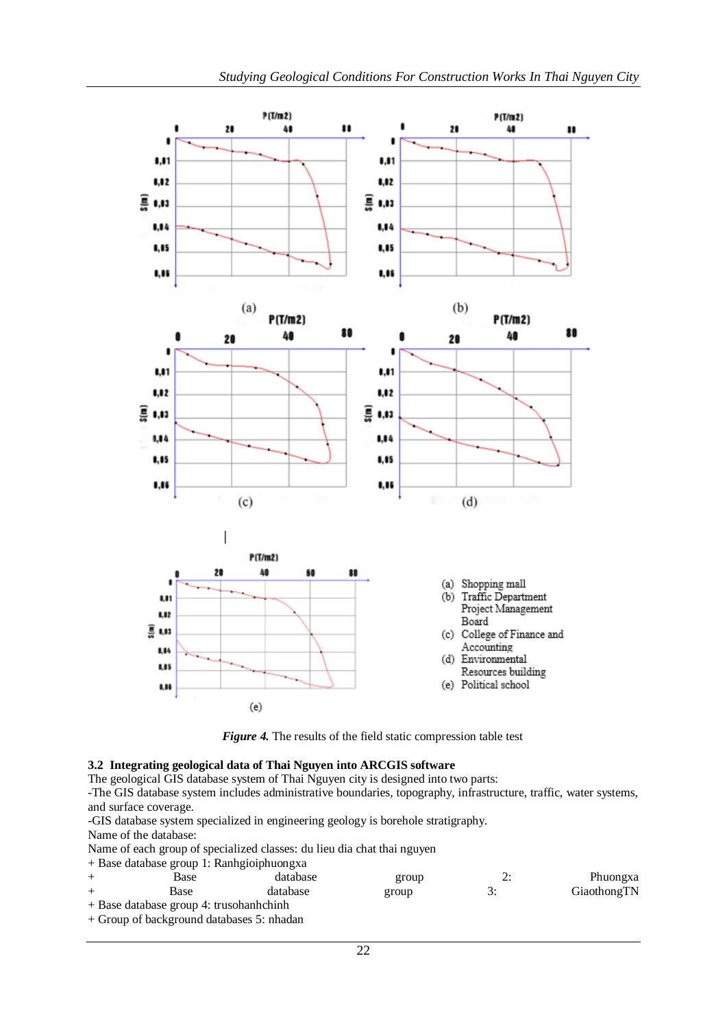

*Figure 4.* The results of the field static compression table test

## **3.2 Integrating geological data of Thai Nguyen into ARCGIS software**

The geological GIS database system of Thai Nguyen city is designed into two parts:

-The GIS database system includes administrative boundaries, topography, infrastructure, traffic, water systems, and surface coverage.

-GIS database system specialized in engineering geology is borehole stratigraphy.

Name of the database:

Name of each group of specialized classes: du lieu dia chat thai nguyen

+ Base database group 1: Ranhgioiphuongxa

| Base                                      | database | group | ٠. | Phuongxa    |
|-------------------------------------------|----------|-------|----|-------------|
| Base                                      | database | group | ຸ  | GiaothongTN |
| $+$ Base database group 4: trusohanhchinh |          |       |    |             |

+ Group of background databases 5: nhadan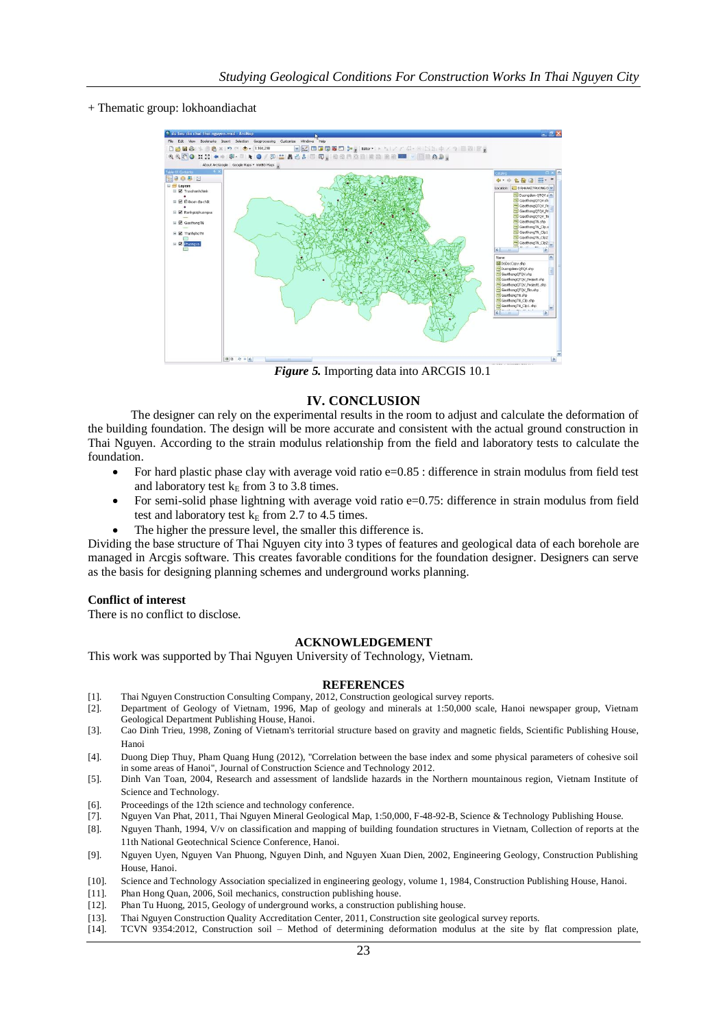+ Thematic group: lokhoandiachat



 *Figure 5.* Importing data into ARCGIS 10.1

## **IV. CONCLUSION**

The designer can rely on the experimental results in the room to adjust and calculate the deformation of the building foundation. The design will be more accurate and consistent with the actual ground construction in Thai Nguyen. According to the strain modulus relationship from the field and laboratory tests to calculate the foundation.

- For hard plastic phase clay with average void ratio e=0.85 : difference in strain modulus from field test and laboratory test  $k<sub>E</sub>$  from 3 to 3.8 times.
- For semi-solid phase lightning with average void ratio e=0.75: difference in strain modulus from field test and laboratory test  $k<sub>E</sub>$  from 2.7 to 4.5 times.
- The higher the pressure level, the smaller this difference is.

Dividing the base structure of Thai Nguyen city into 3 types of features and geological data of each borehole are managed in Arcgis software. This creates favorable conditions for the foundation designer. Designers can serve as the basis for designing planning schemes and underground works planning.

### **Conflict of interest**

There is no conflict to disclose.

### **ACKNOWLEDGEMENT**

This work was supported by Thai Nguyen University of Technology, Vietnam.

#### **REFERENCES**

- [1]. Thai Nguyen Construction Consulting Company, 2012, Construction geological survey reports.
- [2]. Department of Geology of Vietnam, 1996, Map of geology and minerals at 1:50,000 scale, Hanoi newspaper group, Vietnam Geological Department Publishing House, Hanoi.
- [3]. Cao Dinh Trieu, 1998, Zoning of Vietnam's territorial structure based on gravity and magnetic fields, Scientific Publishing House, Hanoi
- [4]. Duong Diep Thuy, Pham Quang Hung (2012), "Correlation between the base index and some physical parameters of cohesive soil in some areas of Hanoi", Journal of Construction Science and Technology 2012.
- [5]. Dinh Van Toan, 2004, Research and assessment of landslide hazards in the Northern mountainous region, Vietnam Institute of Science and Technology.
- [6]. Proceedings of the 12th science and technology conference.
- [7]. Nguyen Van Phat, 2011, Thai Nguyen Mineral Geological Map, 1:50,000, F-48-92-B, Science & Technology Publishing House.
- [8]. Nguyen Thanh, 1994, V/v on classification and mapping of building foundation structures in Vietnam, Collection of reports at the 11th National Geotechnical Science Conference, Hanoi.
- [9]. Nguyen Uyen, Nguyen Van Phuong, Nguyen Dinh, and Nguyen Xuan Dien, 2002, Engineering Geology, Construction Publishing House, Hanoi.
- [10]. Science and Technology Association specialized in engineering geology, volume 1, 1984, Construction Publishing House, Hanoi.
- [11]. Phan Hong Quan, 2006, Soil mechanics, construction publishing house.
- [12]. Phan Tu Huong, 2015, Geology of underground works, a construction publishing house.
- [13]. Thai Nguyen Construction Quality Accreditation Center, 2011, Construction site geological survey reports.
- [14]. TCVN 9354:2012, Construction soil Method of determining deformation modulus at the site by flat compression plate,